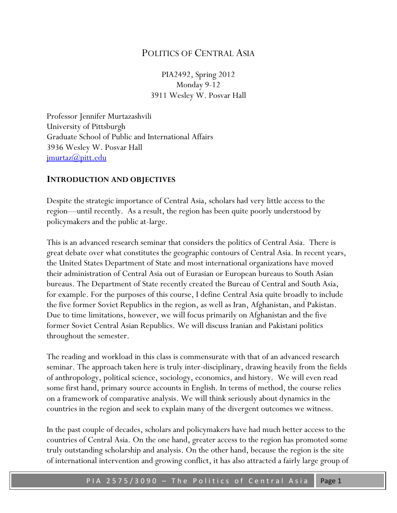# POLITICS OF CENTRAL ASIA

PIA2492, Spring 2012 Monday 9-12 3911 Wesley W. Posvar Hall

Professor Jennifer Murtazashvili University of Pittsburgh Graduate School of Public and International Affairs 3936 Wesley W. Posvar Hall [jmurtaz@pitt.edu](mailto:jmurtaz@pitt.edu)

#### **INTRODUCTION AND OBJECTIVES**

Despite the strategic importance of Central Asia, scholars had very little access to the region—until recently. As a result, the region has been quite poorly understood by policymakers and the public at-large.

This is an advanced research seminar that considers the politics of Central Asia. There is great debate over what constitutes the geographic contours of Central Asia. In recent years, the United States Department of State and most international organizations have moved their administration of Central Asia out of Eurasian or European bureaus to South Asian bureaus. The Department of State recently created the Bureau of Central and South Asia, for example. For the purposes of this course, I define Central Asia quite broadly to include the five former Soviet Republics in the region, as well as Iran, Afghanistan, and Pakistan. Due to time limitations, however, we will focus primarily on Afghanistan and the five former Soviet Central Asian Republics. We will discuss Iranian and Pakistani politics throughout the semester.

The reading and workload in this class is commensurate with that of an advanced research seminar. The approach taken here is truly inter-disciplinary, drawing heavily from the fields of anthropology, political science, sociology, economics, and history. We will even read some first hand, primary source accounts in English. In terms of method, the course relies on a framework of comparative analysis. We will think seriously about dynamics in the countries in the region and seek to explain many of the divergent outcomes we witness.

In the past couple of decades, scholars and policymakers have had much better access to the countries of Central Asia. On the one hand, greater access to the region has promoted some truly outstanding scholarship and analysis. On the other hand, because the region is the site of international intervention and growing conflict, it has also attracted a fairly large group of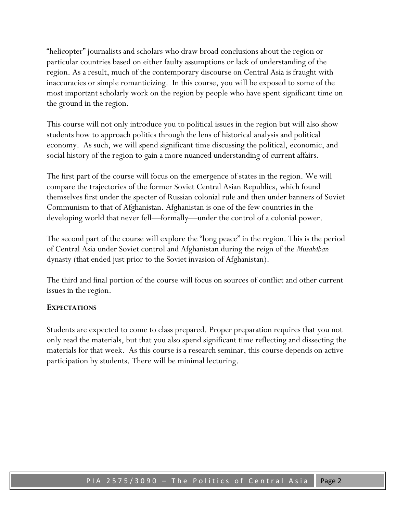"helicopter" journalists and scholars who draw broad conclusions about the region or particular countries based on either faulty assumptions or lack of understanding of the region. As a result, much of the contemporary discourse on Central Asia is fraught with inaccuracies or simple romanticizing. In this course, you will be exposed to some of the most important scholarly work on the region by people who have spent significant time on the ground in the region.

This course will not only introduce you to political issues in the region but will also show students how to approach politics through the lens of historical analysis and political economy. As such, we will spend significant time discussing the political, economic, and social history of the region to gain a more nuanced understanding of current affairs.

The first part of the course will focus on the emergence of states in the region. We will compare the trajectories of the former Soviet Central Asian Republics, which found themselves first under the specter of Russian colonial rule and then under banners of Soviet Communism to that of Afghanistan. Afghanistan is one of the few countries in the developing world that never fell—formally—under the control of a colonial power.

The second part of the course will explore the "long peace" in the region. This is the period of Central Asia under Soviet control and Afghanistan during the reign of the *Musahiban* dynasty (that ended just prior to the Soviet invasion of Afghanistan).

The third and final portion of the course will focus on sources of conflict and other current issues in the region.

#### **EXPECTATIONS**

Students are expected to come to class prepared. Proper preparation requires that you not only read the materials, but that you also spend significant time reflecting and dissecting the materials for that week. As this course is a research seminar, this course depends on active participation by students. There will be minimal lecturing.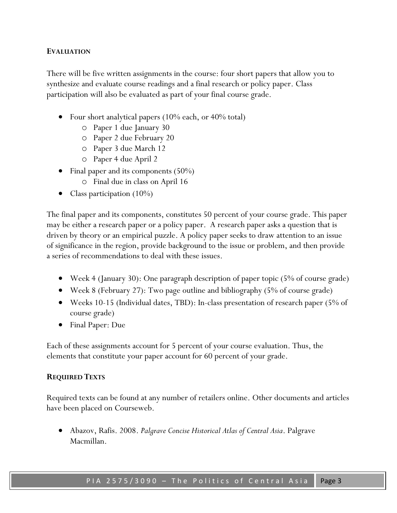#### **EVALUATION**

There will be five written assignments in the course: four short papers that allow you to synthesize and evaluate course readings and a final research or policy paper. Class participation will also be evaluated as part of your final course grade.

- Four short analytical papers (10% each, or 40% total)
	- o Paper 1 due January 30
	- o Paper 2 due February 20
	- o Paper 3 due March 12
	- o Paper 4 due April 2
- Final paper and its components  $(50\%)$ 
	- o Final due in class on April 16
- Class participation (10%)

The final paper and its components, constitutes 50 percent of your course grade. This paper may be either a research paper or a policy paper. A research paper asks a question that is driven by theory or an empirical puzzle. A policy paper seeks to draw attention to an issue of significance in the region, provide background to the issue or problem, and then provide a series of recommendations to deal with these issues.

- Week 4 (January 30): One paragraph description of paper topic (5% of course grade)
- Week 8 (February 27): Two page outline and bibliography (5% of course grade)
- Weeks 10-15 (Individual dates, TBD): In-class presentation of research paper (5% of course grade)
- Final Paper: Due

Each of these assignments account for 5 percent of your course evaluation. Thus, the elements that constitute your paper account for 60 percent of your grade.

#### **REQUIRED TEXTS**

Required texts can be found at any number of retailers online. Other documents and articles have been placed on Courseweb.

 Abazov, Rafis. 2008. *Palgrave Concise Historical Atlas of Central Asia*. Palgrave Macmillan.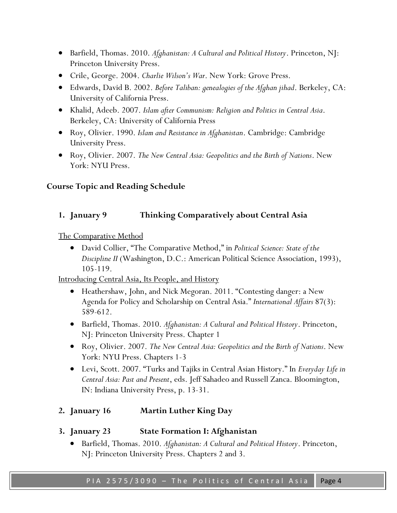- Barfield, Thomas. 2010. *Afghanistan: A Cultural and Political History*. Princeton, NJ: Princeton University Press.
- Crile, George. 2004. *Charlie Wilson's War*. New York: Grove Press.
- Edwards, David B. 2002. *Before Taliban: genealogies of the Afghan jihad*. Berkeley, CA: University of California Press.
- Khalid, Adeeb. 2007. *Islam after Communism: Religion and Politics in Central Asia*. Berkeley, CA: University of California Press
- Roy, Olivier. 1990. *Islam and Resistance in Afghanistan*. Cambridge: Cambridge University Press.
- Roy, Olivier. 2007. *The New Central Asia: Geopolitics and the Birth of Nations*. New York: NYU Press.

#### **Course Topic and Reading Schedule**

#### **1. January 9 Thinking Comparatively about Central Asia**

The Comparative Method

 David Collier, "The Comparative Method," in *Political Science: State of the Discipline II* (Washington, D.C.: American Political Science Association, 1993), 105-119.

Introducing Central Asia, Its People, and History

- Heathershaw, John, and Nick Megoran. 2011. "Contesting danger: a New Agenda for Policy and Scholarship on Central Asia." *International Affairs* 87(3): 589-612.
- Barfield, Thomas. 2010. *Afghanistan: A Cultural and Political History*. Princeton, NJ: Princeton University Press. Chapter 1
- Roy, Olivier. 2007. *The New Central Asia: Geopolitics and the Birth of Nations*. New York: NYU Press. Chapters 1-3
- Levi, Scott. 2007. "Turks and Tajiks in Central Asian History." In *Everyday Life in Central Asia: Past and Present*, eds. Jeff Sahadeo and Russell Zanca. Bloomington, IN: Indiana University Press, p. 13-31.

### **2. January 16 Martin Luther King Day**

- **3. January 23 State Formation I: Afghanistan**
	- Barfield, Thomas. 2010. *Afghanistan: A Cultural and Political History*. Princeton, NJ: Princeton University Press. Chapters 2 and 3.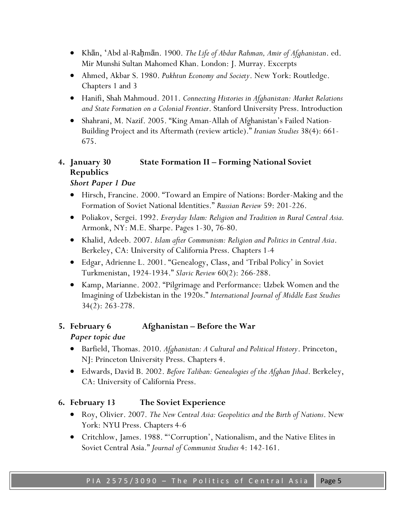- Khān, ʻAbd al-Raḥmān. 1900. *The Life of Abdur Rahman, Amir of Afghanistan*. ed. Mir Munshi Sultan Mahomed Khan. London: J. Murray. Excerpts
- Ahmed, Akbar S. 1980. *Pukhtun Economy and Society*. New York: Routledge. Chapters 1 and 3
- Hanifi, Shah Mahmoud. 2011. *Connecting Histories in Afghanistan: Market Relations and State Formation on a Colonial Frontier*. Stanford University Press. Introduction
- Shahrani, M. Nazif. 2005. "King Aman-Allah of Afghanistan's Failed Nation-Building Project and its Aftermath (review article)." *Iranian Studies* 38(4): 661- 675.

# **4. January 30 State Formation II – Forming National Soviet Republics**

## *Short Paper 1 Due*

- Hirsch, Francine. 2000. "Toward an Empire of Nations: Border-Making and the Formation of Soviet National Identities." *Russian Review* 59: 201-226.
- Poliakov, Sergei. 1992. *Everyday Islam: Religion and Tradition in Rural Central Asia.* Armonk, NY: M.E. Sharpe. Pages 1-30, 76-80.
- Khalid, Adeeb. 2007. *Islam after Communism: Religion and Politics in Central Asia*. Berkeley, CA: University of California Press. Chapters 1-4
- Edgar, Adrienne L. 2001. "Genealogy, Class, and 'Tribal Policy' in Soviet Turkmenistan, 1924-1934." *Slavic Review* 60(2): 266-288.
- Kamp, Marianne. 2002. "Pilgrimage and Performance: Uzbek Women and the Imagining of Uzbekistan in the 1920s." *International Journal of Middle East Studies* 34(2): 263-278.

# **5. February 6 Afghanistan – Before the War**

# *Paper topic due*

- Barfield, Thomas. 2010. *Afghanistan: A Cultural and Political History*. Princeton, NJ: Princeton University Press. Chapters 4.
- Edwards, David B. 2002. *Before Taliban: Genealogies of the Afghan Jihad*. Berkeley, CA: University of California Press.

# **6. February 13 The Soviet Experience**

- Roy, Olivier. 2007. *The New Central Asia: Geopolitics and the Birth of Nations*. New York: NYU Press. Chapters 4-6
- Critchlow, James. 1988. "'Corruption', Nationalism, and the Native Elites in Soviet Central Asia." *Journal of Communist Studies* 4: 142-161.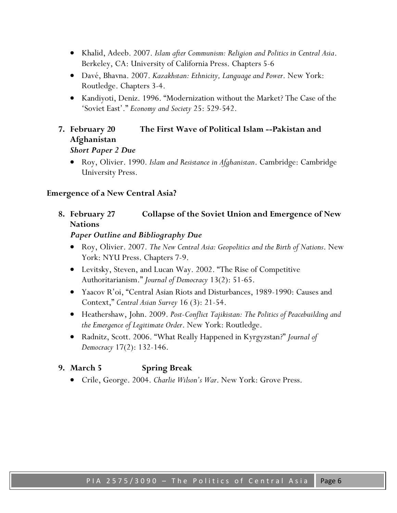- Khalid, Adeeb. 2007. *Islam after Communism: Religion and Politics in Central Asia*. Berkeley, CA: University of California Press. Chapters 5-6
- Davé, Bhavna. 2007. *Kazakhstan: Ethnicity, Language and Power*. New York: Routledge. Chapters 3-4.
- Kandiyoti, Deniz. 1996. "Modernization without the Market? The Case of the 'Soviet East'." *Economy and Society* 25: 529-542.

## **7. February 20 The First Wave of Political Islam --Pakistan and Afghanistan** *Short Paper 2 Due*

 Roy, Olivier. 1990. *Islam and Resistance in Afghanistan*. Cambridge: Cambridge University Press.

#### **Emergence of a New Central Asia?**

**8. February 27 Collapse of the Soviet Union and Emergence of New Nations**

*Paper Outline and Bibliography Due*

- Roy, Olivier. 2007. *The New Central Asia: Geopolitics and the Birth of Nations*. New York: NYU Press. Chapters 7-9.
- Levitsky, Steven, and Lucan Way. 2002. "The Rise of Competitive Authoritarianism." *Journal of Democracy* 13(2): 51-65.
- Yaacov R'oi, "Central Asian Riots and Disturbances, 1989-1990: Causes and Context," *Central Asian Survey* 16 (3): 21-54.
- Heathershaw, John. 2009. *Post-Conflict Tajikistan: The Politics of Peacebuilding and the Emergence of Legitimate Order*. New York: Routledge.
- Radnitz, Scott. 2006. "What Really Happened in Kyrgyzstan?" *Journal of Democracy* 17(2): 132-146.

### **9. March 5 Spring Break**

Crile, George. 2004. *Charlie Wilson's War*. New York: Grove Press.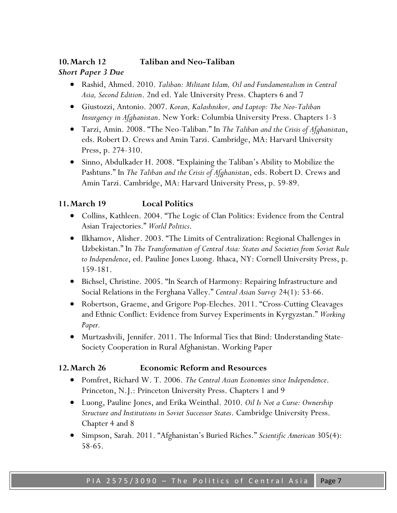# **10.March 12 Taliban and Neo-Taliban** *Short Paper 3 Due*

- Rashid, Ahmed. 2010. *Taliban: Militant Islam, Oil and Fundamentalism in Central Asia, Second Edition*. 2nd ed. Yale University Press. Chapters 6 and 7
- Giustozzi, Antonio. 2007. *Koran, Kalashnikov, and Laptop: The Neo-Taliban Insurgency in Afghanistan*. New York: Columbia University Press. Chapters 1-3
- Tarzi, Amin. 2008. "The Neo-Taliban." In *The Taliban and the Crisis of Afghanistan*, eds. Robert D. Crews and Amin Tarzi. Cambridge, MA: Harvard University Press, p. 274-310.
- Sinno, Abdulkader H. 2008. "Explaining the Taliban's Ability to Mobilize the Pashtuns." In *The Taliban and the Crisis of Afghanistan*, eds. Robert D. Crews and Amin Tarzi. Cambridge, MA: Harvard University Press, p. 59-89.

# **11.March 19 Local Politics**

- Collins, Kathleen. 2004. "The Logic of Clan Politics: Evidence from the Central Asian Trajectories." *World Politics*.
- Ilkhamov, Alisher. 2003. "The Limits of Centralization: Regional Challenges in Uzbekistan." In *The Transformation of Central Asia: States and Societies from Soviet Rule to Independence*, ed. Pauline Jones Luong. Ithaca, NY: Cornell University Press, p. 159-181.
- Bichsel, Christine. 2005. "In Search of Harmony: Repairing Infrastructure and Social Relations in the Ferghana Valley." *Central Asian Survey* 24(1): 53-66.
- Robertson, Graeme, and Grigore Pop-Eleches. 2011. "Cross-Cutting Cleavages and Ethnic Conflict: Evidence from Survey Experiments in Kyrgyzstan." *Working Paper.*
- Murtzashvili, Jennifer. 2011. The Informal Ties that Bind: Understanding State-Society Cooperation in Rural Afghanistan. Working Paper

### **12.March 26 Economic Reform and Resources**

- Pomfret, Richard W. T. 2006. *The Central Asian Economies since Independence*. Princeton, N.J.: Princeton University Press. Chapters 1 and 9
- Luong, Pauline Jones, and Erika Weinthal. 2010. *Oil Is Not a Curse: Ownership Structure and Institutions in Soviet Successor States*. Cambridge University Press. Chapter 4 and 8
- Simpson, Sarah. 2011. "Afghanistan's Buried Riches." *Scientific American* 305(4): 58-65.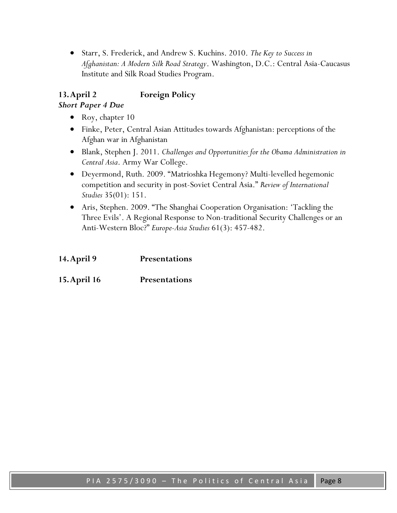Starr, S. Frederick, and Andrew S. Kuchins. 2010. *The Key to Success in Afghanistan: A Modern Silk Road Strategy*. Washington, D.C.: Central Asia-Caucasus Institute and Silk Road Studies Program.

# **13.April 2 Foreign Policy**

### *Short Paper 4 Due*

- Roy, chapter  $10$
- Finke, Peter, Central Asian Attitudes towards Afghanistan: perceptions of the Afghan war in Afghanistan
- Blank, Stephen J. 2011. *Challenges and Opportunities for the Obama Administration in Central Asia*. Army War College.
- Deyermond, Ruth. 2009. "Matrioshka Hegemony? Multi-levelled hegemonic competition and security in post-Soviet Central Asia." *Review of International Studies* 35(01): 151.
- Aris, Stephen. 2009. "The Shanghai Cooperation Organisation: 'Tackling the Three Evils'. A Regional Response to Non-traditional Security Challenges or an Anti-Western Bloc?" *Europe-Asia Studies* 61(3): 457-482.

| 14. April 9 | <b>Presentations</b> |
|-------------|----------------------|
|             |                      |

**15.April 16 Presentations**

PIA 2575/3090 - The Politics of Central Asia | Page 8